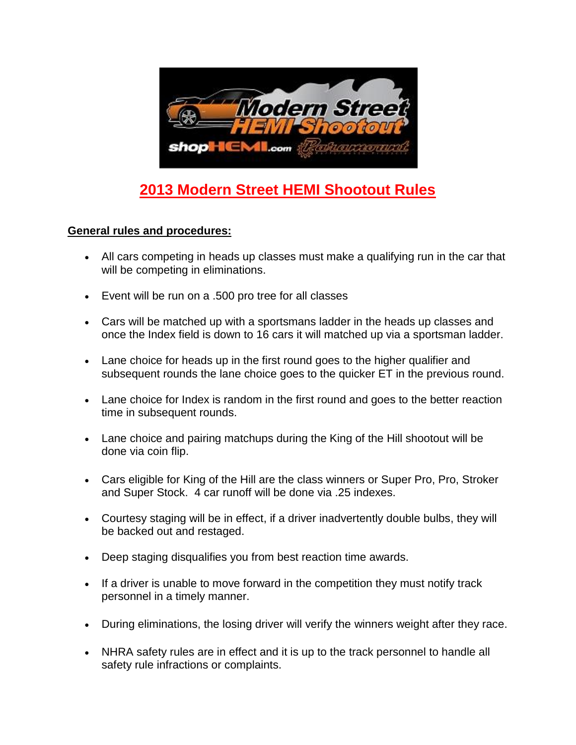

# **2013 Modern Street HEMI Shootout Rules**

#### **General rules and procedures:**

- All cars competing in heads up classes must make a qualifying run in the car that will be competing in eliminations.
- Event will be run on a .500 pro tree for all classes
- Cars will be matched up with a sportsmans ladder in the heads up classes and once the Index field is down to 16 cars it will matched up via a sportsman ladder.
- Lane choice for heads up in the first round goes to the higher qualifier and subsequent rounds the lane choice goes to the quicker ET in the previous round.
- Lane choice for Index is random in the first round and goes to the better reaction time in subsequent rounds.
- Lane choice and pairing matchups during the King of the Hill shootout will be done via coin flip.
- Cars eligible for King of the Hill are the class winners or Super Pro, Pro, Stroker and Super Stock. 4 car runoff will be done via .25 indexes.
- Courtesy staging will be in effect, if a driver inadvertently double bulbs, they will be backed out and restaged.
- Deep staging disqualifies you from best reaction time awards.
- If a driver is unable to move forward in the competition they must notify track personnel in a timely manner.
- During eliminations, the losing driver will verify the winners weight after they race.
- NHRA safety rules are in effect and it is up to the track personnel to handle all safety rule infractions or complaints.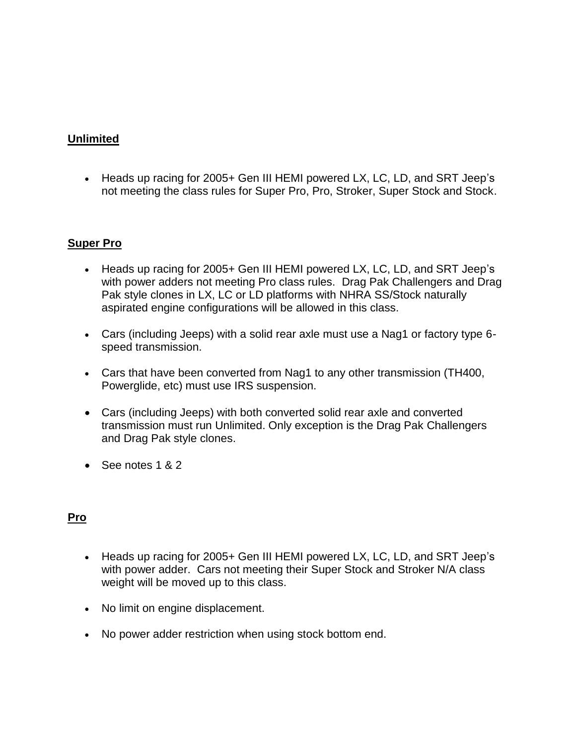## **Unlimited**

 Heads up racing for 2005+ Gen III HEMI powered LX, LC, LD, and SRT Jeep's not meeting the class rules for Super Pro, Pro, Stroker, Super Stock and Stock.

#### **Super Pro**

- Heads up racing for 2005+ Gen III HEMI powered LX, LC, LD, and SRT Jeep's with power adders not meeting Pro class rules. Drag Pak Challengers and Drag Pak style clones in LX, LC or LD platforms with NHRA SS/Stock naturally aspirated engine configurations will be allowed in this class.
- Cars (including Jeeps) with a solid rear axle must use a Nag1 or factory type 6 speed transmission.
- Cars that have been converted from Nag1 to any other transmission (TH400, Powerglide, etc) must use IRS suspension.
- Cars (including Jeeps) with both converted solid rear axle and converted transmission must run Unlimited. Only exception is the Drag Pak Challengers and Drag Pak style clones.
- $\bullet$  See notes 1 & 2

#### **Pro**

- Heads up racing for 2005+ Gen III HEMI powered LX, LC, LD, and SRT Jeep's with power adder. Cars not meeting their Super Stock and Stroker N/A class weight will be moved up to this class.
- No limit on engine displacement.
- No power adder restriction when using stock bottom end.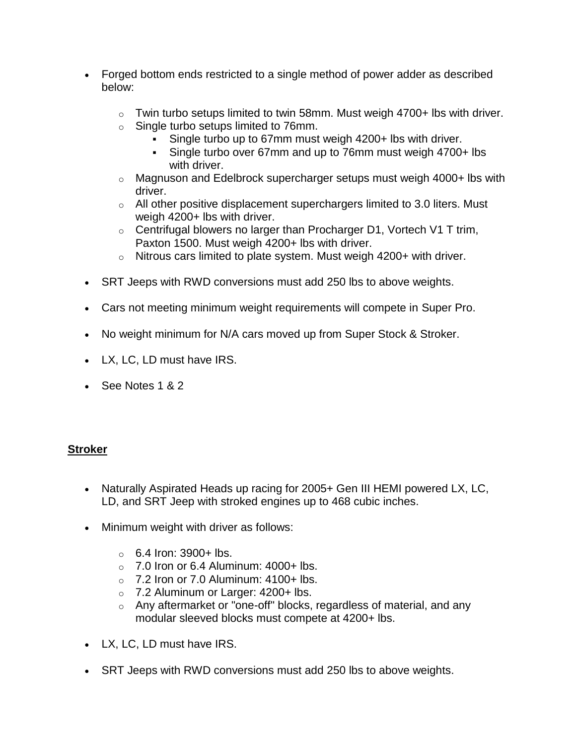- Forged bottom ends restricted to a single method of power adder as described below:
	- $\circ$  Twin turbo setups limited to twin 58mm. Must weigh 4700+ lbs with driver.
	- o Single turbo setups limited to 76mm.
		- Single turbo up to 67mm must weigh 4200+ lbs with driver.
		- Single turbo over 67mm and up to 76mm must weigh 4700+ lbs with driver.
	- $\circ$  Magnuson and Edelbrock supercharger setups must weigh 4000+ lbs with driver.
	- $\circ$  All other positive displacement superchargers limited to 3.0 liters. Must weigh 4200+ lbs with driver.
	- $\circ$  Centrifugal blowers no larger than Procharger D1, Vortech V1 T trim, Paxton 1500. Must weigh 4200+ lbs with driver.
	- $\circ$  Nitrous cars limited to plate system. Must weigh 4200+ with driver.
- SRT Jeeps with RWD conversions must add 250 lbs to above weights.
- Cars not meeting minimum weight requirements will compete in Super Pro.
- No weight minimum for N/A cars moved up from Super Stock & Stroker.
- LX, LC, LD must have IRS.
- $\cdot$  See Notes 1 & 2

#### **Stroker**

- Naturally Aspirated Heads up racing for 2005+ Gen III HEMI powered LX, LC, LD, and SRT Jeep with stroked engines up to 468 cubic inches.
- Minimum weight with driver as follows:
	- $\circ$  6.4 Iron: 3900+ lbs.
	- $\circ$  7.0 Iron or 6.4 Aluminum: 4000+ lbs.
	- $\circ$  7.2 Iron or 7.0 Aluminum: 4100+ lbs.
	- o 7.2 Aluminum or Larger: 4200+ lbs.
	- o Any aftermarket or "one-off" blocks, regardless of material, and any modular sleeved blocks must compete at 4200+ lbs.
- LX, LC, LD must have IRS.
- SRT Jeeps with RWD conversions must add 250 lbs to above weights.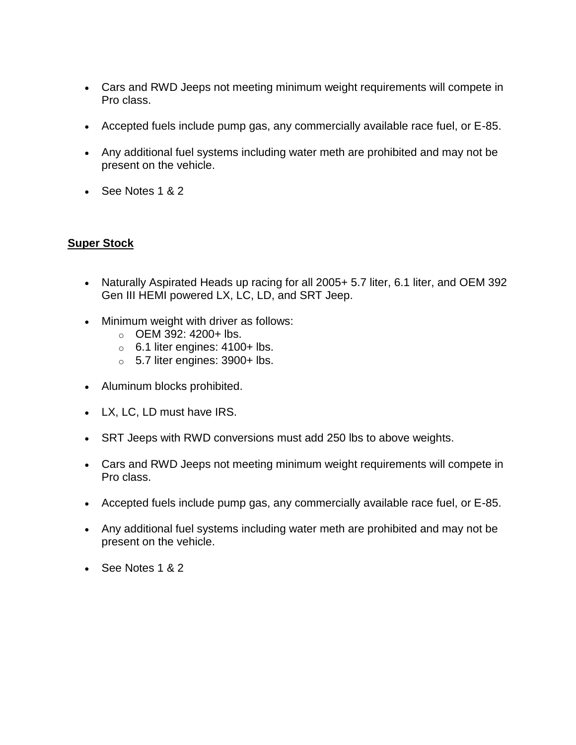- Cars and RWD Jeeps not meeting minimum weight requirements will compete in Pro class.
- Accepted fuels include pump gas, any commercially available race fuel, or E-85.
- Any additional fuel systems including water meth are prohibited and may not be present on the vehicle.
- See Notes 1 & 2

# **Super Stock**

- Naturally Aspirated Heads up racing for all 2005+ 5.7 liter, 6.1 liter, and OEM 392 Gen III HEMI powered LX, LC, LD, and SRT Jeep.
- Minimum weight with driver as follows:
	- $O$  OEM 392: 4200+ lbs.
	- $\circ$  6.1 liter engines: 4100+ lbs.
	- $\circ$  5.7 liter engines: 3900+ lbs.
- Aluminum blocks prohibited.
- LX, LC, LD must have IRS.
- SRT Jeeps with RWD conversions must add 250 lbs to above weights.
- Cars and RWD Jeeps not meeting minimum weight requirements will compete in Pro class.
- Accepted fuels include pump gas, any commercially available race fuel, or E-85.
- Any additional fuel systems including water meth are prohibited and may not be present on the vehicle.
- See Notes 1 & 2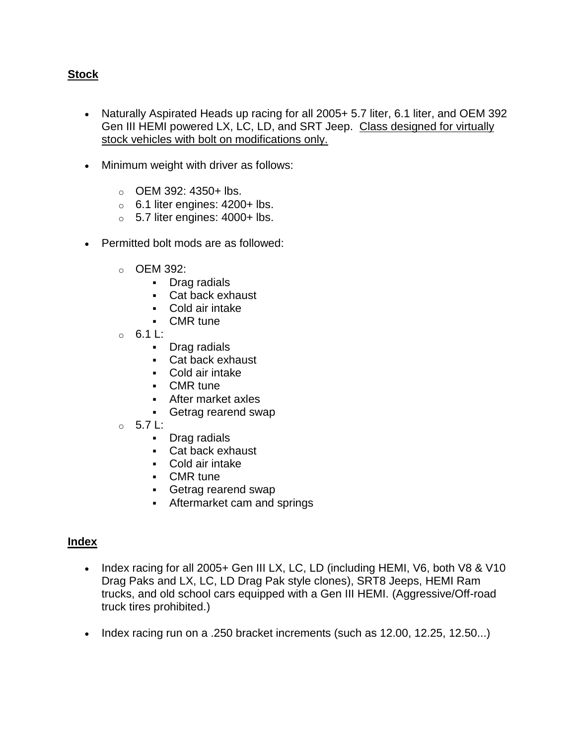## **Stock**

- Naturally Aspirated Heads up racing for all 2005+ 5.7 liter, 6.1 liter, and OEM 392 Gen III HEMI powered LX, LC, LD, and SRT Jeep. Class designed for virtually stock vehicles with bolt on modifications only.
- Minimum weight with driver as follows:
	- $\circ$  OEM 392: 4350+ lbs.
	- $\circ$  6.1 liter engines: 4200+ lbs.
	- $\circ$  5.7 liter engines: 4000+ lbs.
- Permitted bolt mods are as followed:
	- o OEM 392:
		- Drag radials
		- Cat back exhaust
		- Cold air intake
		- CMR tune
	- $\circ$  6.1 L:
		- Drag radials
		- Cat back exhaust
		- Cold air intake
		- CMR tune
		- After market axles
		- Getrag rearend swap
	- o 5.7 L:
		- Drag radials
		- Cat back exhaust
		- Cold air intake
		- CMR tune
		- Getrag rearend swap
		- Aftermarket cam and springs

#### **Index**

- Index racing for all 2005+ Gen III LX, LC, LD (including HEMI, V6, both V8 & V10 Drag Paks and LX, LC, LD Drag Pak style clones), SRT8 Jeeps, HEMI Ram trucks, and old school cars equipped with a Gen III HEMI. (Aggressive/Off-road truck tires prohibited.)
- Index racing run on a .250 bracket increments (such as 12.00, 12.25, 12.50...)